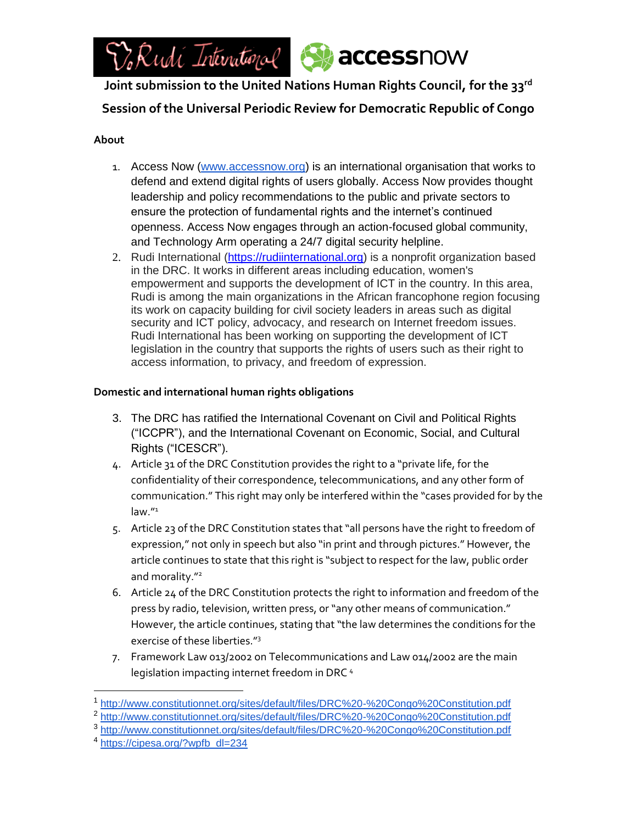

**Joint submission to the United Nations Human Rights Council, for the 33rd**

**Session of the Universal Periodic Review for Democratic Republic of Congo**

# **About**

- 1. Access Now [\(www.accessnow.org\)](http://www.accessnow.org/) is an international organisation that works to defend and extend digital rights of users globally. Access Now provides thought leadership and policy recommendations to the public and private sectors to ensure the protection of fundamental rights and the internet's continued openness. Access Now engages through an action-focused global community, and Technology Arm operating a 24/7 digital security helpline.
- 2. Rudi International [\(https://rudiinternational.org\)](https://rudiinternational.org/) is a nonprofit organization based in the DRC. It works in different areas including education, women's empowerment and supports the development of ICT in the country. In this area, Rudi is among the main organizations in the African francophone region focusing its work on capacity building for civil society leaders in areas such as digital security and ICT policy, advocacy, and research on Internet freedom issues. Rudi International has been working on supporting the development of ICT legislation in the country that supports the rights of users such as their right to access information, to privacy, and freedom of expression.

# **Domestic and international human rights obligations**

- 3. The DRC has ratified the International Covenant on Civil and Political Rights ("ICCPR"), and the International Covenant on Economic, Social, and Cultural Rights ("ICESCR").
- 4. Article 31 of the DRC Constitution provides the right to a "private life, for the confidentiality of their correspondence, telecommunications, and any other form of communication." This right may only be interfered within the "cases provided for by the law."<sup>1</sup>
- 5. Article 23 of the DRC Constitution states that "all persons have the right to freedom of expression," not only in speech but also "in print and through pictures." However, the article continues to state that this right is "subject to respect for the law, public order and morality."<sup>2</sup>
- 6. Article 24 of the DRC Constitution protects the right to information and freedom of the press by radio, television, written press, or "any other means of communication." However, the article continues, stating that "the law determines the conditions for the exercise of these liberties."<sup>3</sup>
- 7. Framework Law 013/2002 on Telecommunications and Law 014/2002 are the main legislation impacting internet freedom in DRC<sup>4</sup>

- <sup>2</sup> <http://www.constitutionnet.org/sites/default/files/DRC%20-%20Congo%20Constitution.pdf>
- <sup>3</sup> <http://www.constitutionnet.org/sites/default/files/DRC%20-%20Congo%20Constitution.pdf>

 $\overline{a}$ <sup>1</sup> <http://www.constitutionnet.org/sites/default/files/DRC%20-%20Congo%20Constitution.pdf>

<sup>4</sup> [https://cipesa.org/?wpfb\\_dl=234](https://cipesa.org/?wpfb_dl=234)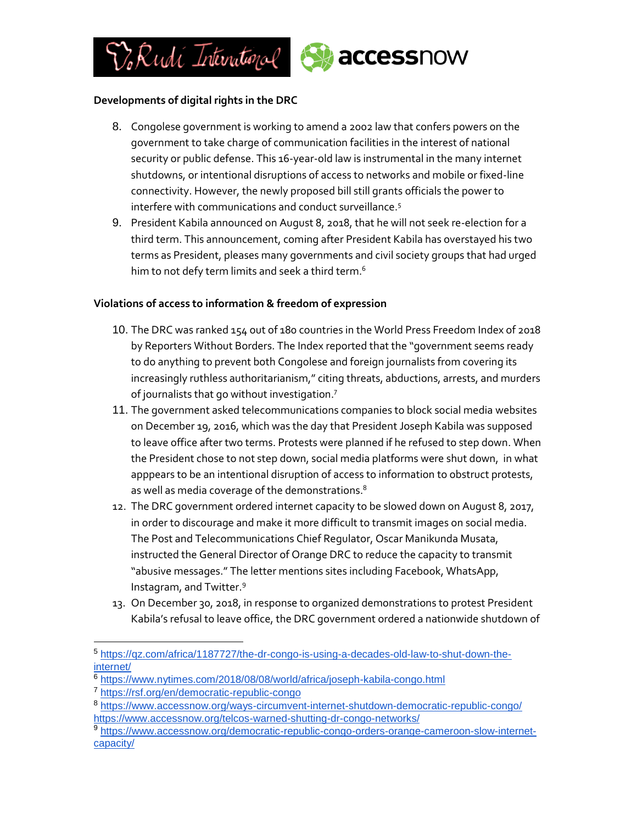

## **Developments of digital rights in the DRC**

- 8. Congolese government is working to amend a 2002 law that confers powers on the government to take charge of communication facilities in the interest of national security or public defense. This 16-year-old law is instrumental in the many internet shutdowns, or intentional disruptions of access to networks and mobile or fixed-line connectivity. However, the newly proposed bill still grants officials the power to interfere with communications and conduct surveillance.<sup>5</sup>
- 9. President Kabila announced on August 8, 2018, that he will not seek re-election for a third term. This announcement, coming after President Kabila has overstayed his two terms as President, pleases many governments and civil society groups that had urged him to not defy term limits and seek a third term.<sup>6</sup>

### **Violations of access to information & freedom of expression**

- 10. The DRC was ranked 154 out of 180 countries in the World Press Freedom Index of 2018 by Reporters Without Borders. The Index reported that the "government seems ready to do anything to prevent both Congolese and foreign journalists from covering its increasingly ruthless authoritarianism," citing threats, abductions, arrests, and murders of journalists that go without investigation.<sup>7</sup>
- 11. The government asked telecommunications companies to block social media websites on December 19, 2016, which was the day that President Joseph Kabila was supposed to leave office after two terms. Protests were planned if he refused to step down. When the President chose to not step down, social media platforms were shut down, in what apppears to be an intentional disruption of access to information to obstruct protests, as well as media coverage of the demonstrations. $^8$
- 12. The DRC government ordered internet capacity to be slowed down on August 8, 2017, in order to discourage and make it more difficult to transmit images on social media. The Post and Telecommunications Chief Regulator, Oscar Manikunda Musata, instructed the General Director of Orange DRC to reduce the capacity to transmit "abusive messages." The letter mentions sites including Facebook, WhatsApp, Instagram, and Twitter.<sup>9</sup>
- 13. On December 30, 2018, in response to organized demonstrations to protest President Kabila's refusal to leave office, the DRC government ordered a nationwide shutdown of

 $\overline{a}$ 

<sup>5</sup> [https://qz.com/africa/1187727/the-dr-congo-is-using-a-decades-old-law-to-shut-down-the](https://qz.com/africa/1187727/the-dr-congo-is-using-a-decades-old-law-to-shut-down-the-internet/)[internet/](https://qz.com/africa/1187727/the-dr-congo-is-using-a-decades-old-law-to-shut-down-the-internet/)

<sup>&</sup>lt;sup>6</sup> <https://www.nytimes.com/2018/08/08/world/africa/joseph-kabila-congo.html>

<sup>7</sup> <https://rsf.org/en/democratic-republic-congo>

<sup>8</sup> <https://www.accessnow.org/ways-circumvent-internet-shutdown-democratic-republic-congo/> <https://www.accessnow.org/telcos-warned-shutting-dr-congo-networks/>

<sup>9</sup> [https://www.accessnow.org/democratic-republic-congo-orders-orange-cameroon-slow-internet](https://www.accessnow.org/democratic-republic-congo-orders-orange-cameroon-slow-internet-capacity/)[capacity/](https://www.accessnow.org/democratic-republic-congo-orders-orange-cameroon-slow-internet-capacity/)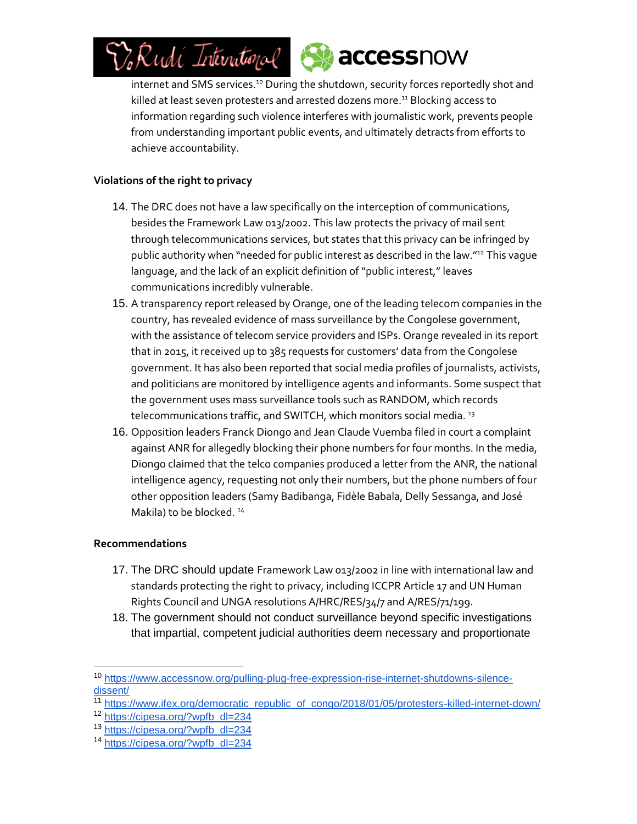



internet and SMS services.<sup>10</sup> During the shutdown, security forces reportedly shot and killed at least seven protesters and arrested dozens more.<sup>11</sup> Blocking access to information regarding such violence interferes with journalistic work, prevents people from understanding important public events, and ultimately detracts from efforts to achieve accountability.

# **Violations of the right to privacy**

- 14. The DRC does not have a law specifically on the interception of communications, besides the Framework Law 013/2002. This law protects the privacy of mail sent through telecommunications services, but states that this privacy can be infringed by public authority when "needed for public interest as described in the law."<sup>12</sup> This vague language, and the lack of an explicit definition of "public interest," leaves communications incredibly vulnerable.
- 15. A transparency report released by Orange, one of the leading telecom companies in the country, has revealed evidence of mass surveillance by the Congolese government, with the assistance of telecom service providers and ISPs. Orange revealed in its report that in 2015, it received up to 385 requests for customers' data from the Congolese government. It has also been reported that social media profiles of journalists, activists, and politicians are monitored by intelligence agents and informants. Some suspect that the government uses mass surveillance tools such as RANDOM, which records telecommunications traffic, and SWITCH, which monitors social media.<sup>13</sup>
- 16. Opposition leaders Franck Diongo and Jean Claude Vuemba filed in court a complaint against ANR for allegedly blocking their phone numbers for four months. In the media, Diongo claimed that the telco companies produced a letter from the ANR, the national intelligence agency, requesting not only their numbers, but the phone numbers of four other opposition leaders (Samy Badibanga, Fidèle Babala, Delly Sessanga, and José Makila) to be blocked.<sup>14</sup>

### **Recommendations**

l

- 17. The DRC should update Framework Law 013/2002 in line with international law and standards protecting the right to privacy, including ICCPR Article 17 and UN Human Rights Council and UNGA resolutions A/HRC/RES/34/7 and A/RES/71/199.
- 18. The government should not conduct surveillance beyond specific investigations that impartial, competent judicial authorities deem necessary and proportionate

<sup>10</sup> [https://www.accessnow.org/pulling-plug-free-expression-rise-internet-shutdowns-silence](https://www.accessnow.org/pulling-plug-free-expression-rise-internet-shutdowns-silence-dissent/)[dissent/](https://www.accessnow.org/pulling-plug-free-expression-rise-internet-shutdowns-silence-dissent/)

<sup>11</sup> [https://www.ifex.org/democratic\\_republic\\_of\\_congo/2018/01/05/protesters-killed-internet-down/](https://www.ifex.org/democratic_republic_of_congo/2018/01/05/protesters-killed-internet-down/)

<sup>12</sup> [https://cipesa.org/?wpfb\\_dl=234](https://cipesa.org/?wpfb_dl=234)

<sup>13</sup> [https://cipesa.org/?wpfb\\_dl=234](https://cipesa.org/?wpfb_dl=234)

<sup>14</sup> [https://cipesa.org/?wpfb\\_dl=234](https://cipesa.org/?wpfb_dl=234)